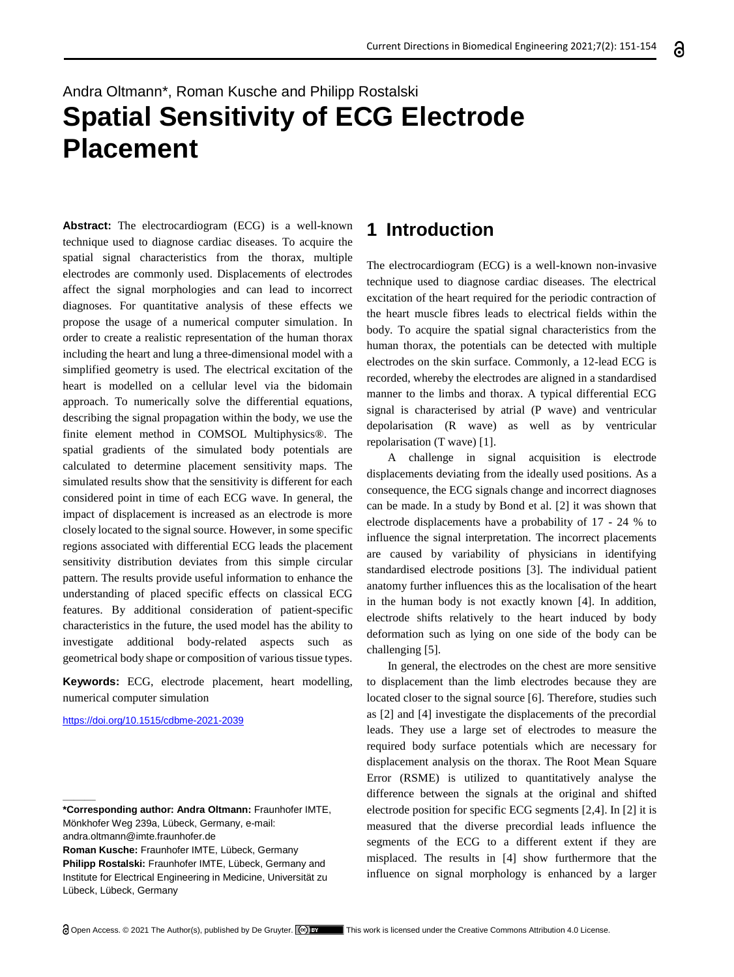# Andra Oltmann\*, Roman Kusche and Philipp Rostalski **Spatial Sensitivity of ECG Electrode Placement**

**Abstract:** The electrocardiogram (ECG) is a well-known technique used to diagnose cardiac diseases. To acquire the spatial signal characteristics from the thorax, multiple electrodes are commonly used. Displacements of electrodes affect the signal morphologies and can lead to incorrect diagnoses. For quantitative analysis of these effects we propose the usage of a numerical computer simulation. In order to create a realistic representation of the human thorax including the heart and lung a three-dimensional model with a simplified geometry is used. The electrical excitation of the heart is modelled on a cellular level via the bidomain approach. To numerically solve the differential equations, describing the signal propagation within the body, we use the finite element method in COMSOL Multiphysics®. The spatial gradients of the simulated body potentials are calculated to determine placement sensitivity maps. The simulated results show that the sensitivity is different for each considered point in time of each ECG wave. In general, the impact of displacement is increased as an electrode is more closely located to the signal source. However, in some specific regions associated with differential ECG leads the placement sensitivity distribution deviates from this simple circular pattern. The results provide useful information to enhance the understanding of placed specific effects on classical ECG features. By additional consideration of patient-specific characteristics in the future, the used model has the ability to investigate additional body-related aspects such as geometrical body shape or composition of various tissue types.

**Keywords:** ECG, electrode placement, heart modelling, numerical computer simulation

<https://doi.org/10.1515/cdbme-2021-2039>

**\_\_\_\_\_\_**

## **1 Introduction**

The electrocardiogram (ECG) is a well-known non-invasive technique used to diagnose cardiac diseases. The electrical excitation of the heart required for the periodic contraction of the heart muscle fibres leads to electrical fields within the body. To acquire the spatial signal characteristics from the human thorax, the potentials can be detected with multiple electrodes on the skin surface. Commonly, a 12-lead ECG is recorded, whereby the electrodes are aligned in a standardised manner to the limbs and thorax. A typical differential ECG signal is characterised by atrial (P wave) and ventricular depolarisation (R wave) as well as by ventricular repolarisation (T wave) [1].

A challenge in signal acquisition is electrode displacements deviating from the ideally used positions. As a consequence, the ECG signals change and incorrect diagnoses can be made. In a study by Bond et al. [2] it was shown that electrode displacements have a probability of 17 - 24 % to influence the signal interpretation. The incorrect placements are caused by variability of physicians in identifying standardised electrode positions [3]. The individual patient anatomy further influences this as the localisation of the heart in the human body is not exactly known [4]. In addition, electrode shifts relatively to the heart induced by body deformation such as lying on one side of the body can be challenging [5].

In general, the electrodes on the chest are more sensitive to displacement than the limb electrodes because they are located closer to the signal source [6]. Therefore, studies such as [2] and [4] investigate the displacements of the precordial leads. They use a large set of electrodes to measure the required body surface potentials which are necessary for displacement analysis on the thorax. The Root Mean Square Error (RSME) is utilized to quantitatively analyse the difference between the signals at the original and shifted electrode position for specific ECG segments [2,4]. In [2] it is measured that the diverse precordial leads influence the segments of the ECG to a different extent if they are misplaced. The results in [4] show furthermore that the influence on signal morphology is enhanced by a larger

**<sup>\*</sup>Corresponding author: Andra Oltmann:** Fraunhofer IMTE, Mönkhofer Weg 239a, Lübeck, Germany, e-mail:

andra.oltmann@imte.fraunhofer.de

**Roman Kusche:** Fraunhofer IMTE, Lübeck, Germany **Philipp Rostalski:** Fraunhofer IMTE, Lübeck, Germany and Institute for Electrical Engineering in Medicine, Universität zu Lübeck, Lübeck, Germany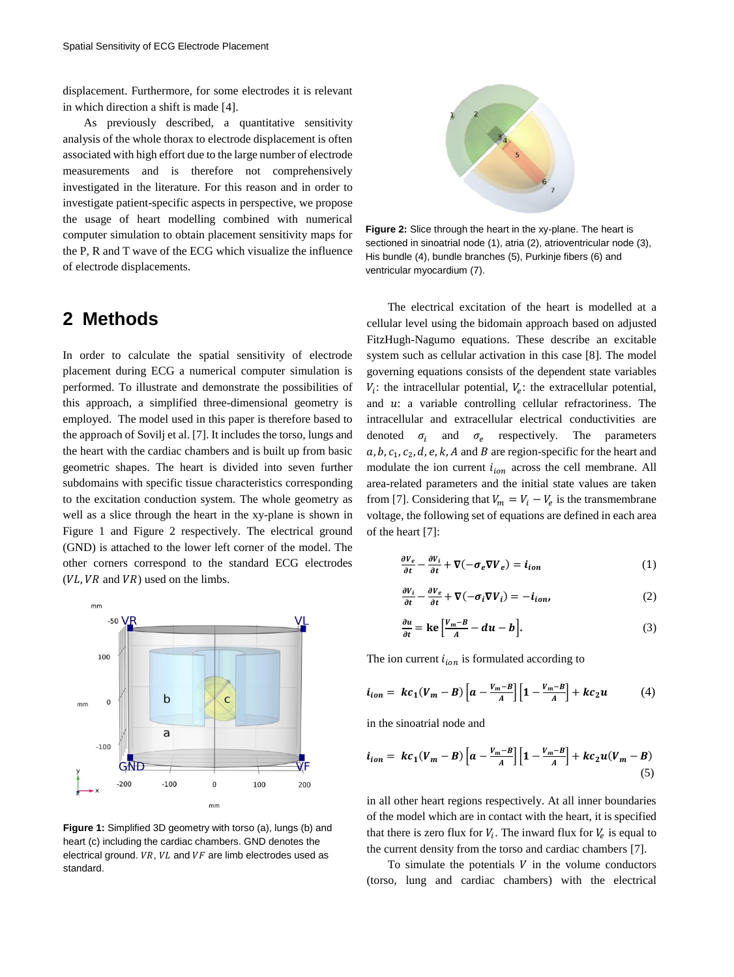displacement. Furthermore, for some electrodes it is relevant in which direction a shift is made [4].

As previously described, a quantitative sensitivity analysis of the whole thorax to electrode displacement is often associated with high effort due to the large number of electrode measurements and is therefore not comprehensively investigated in the literature. For this reason and in order to investigate patient-specific aspects in perspective, we propose the usage of heart modelling combined with numerical computer simulation to obtain placement sensitivity maps for the P, R and T wave of the ECG which visualize the influence of electrode displacements.

#### **2 Methods**

In order to calculate the spatial sensitivity of electrode placement during ECG a numerical computer simulation is performed. To illustrate and demonstrate the possibilities of this approach, a simplified three-dimensional geometry is employed. The model used in this paper is therefore based to the approach of Sovilj et al. [7]. It includes the torso, lungs and the heart with the cardiac chambers and is built up from basic geometric shapes. The heart is divided into seven further subdomains with specific tissue characteristics corresponding to the excitation conduction system. The whole geometry as well as a slice through the heart in the xy-plane is shown in Figure 1 and Figure 2 respectively. The electrical ground (GND) is attached to the lower left corner of the model. The other corners correspond to the standard ECG electrodes  $(VL, VR$  and  $VR)$  used on the limbs.



**Figure 1:** Simplified 3D geometry with torso (a), lungs (b) and heart (c) including the cardiac chambers. GND denotes the electrical ground.  $VR$ ,  $VL$  and  $VF$  are limb electrodes used as standard.



**Figure 2:** Slice through the heart in the xy-plane. The heart is sectioned in sinoatrial node (1), atria (2), atrioventricular node (3), His bundle (4), bundle branches (5), Purkinje fibers (6) and ventricular myocardium (7).

The electrical excitation of the heart is modelled at a cellular level using the bidomain approach based on adjusted FitzHugh-Nagumo equations. These describe an excitable system such as cellular activation in this case [8]. The model governing equations consists of the dependent state variables  $V_i$ : the intracellular potential,  $V_e$ : the extracellular potential, and  $u$ : a variable controlling cellular refractoriness. The intracellular and extracellular electrical conductivities are denoted  $\sigma_i$  and  $\sigma_e$  respectively. The parameters  $a, b, c_1, c_2, d, e, k, A$  and B are region-specific for the heart and modulate the ion current  $i_{ion}$  across the cell membrane. All area-related parameters and the initial state values are taken from [7]. Considering that  $V_m = V_i - V_e$  is the transmembrane voltage, the following set of equations are defined in each area of the heart [7]:

$$
\frac{\partial V_e}{\partial t} - \frac{\partial V_i}{\partial t} + \nabla(-\sigma_e \nabla V_e) = \dot{\mathbf{i}}_{ion} \tag{1}
$$

$$
\frac{\partial V_i}{\partial t} - \frac{\partial V_e}{\partial t} + \nabla(-\sigma_i \nabla V_i) = -i_{ion},
$$
\n(2)

$$
\frac{\partial u}{\partial t} = \text{ke}\left[\frac{V_m - B}{A} - du - b\right].\tag{3}
$$

The ion current  $i_{ion}$  is formulated according to

$$
i_{ion} = kc_1(V_m - B) \left[ a - \frac{V_m - B}{A} \right] \left[ 1 - \frac{V_m - B}{A} \right] + kc_2 u \tag{4}
$$

in the sinoatrial node and

$$
i_{ion} = kc_1(V_m - B) \left[ a - \frac{V_m - B}{A} \right] \left[ 1 - \frac{V_m - B}{A} \right] + kc_2 u (V_m - B) \tag{5}
$$

in all other heart regions respectively. At all inner boundaries of the model which are in contact with the heart, it is specified that there is zero flux for  $V_i$ . The inward flux for  $V_e$  is equal to the current density from the torso and cardiac chambers [7].

To simulate the potentials  $V$  in the volume conductors (torso, lung and cardiac chambers) with the electrical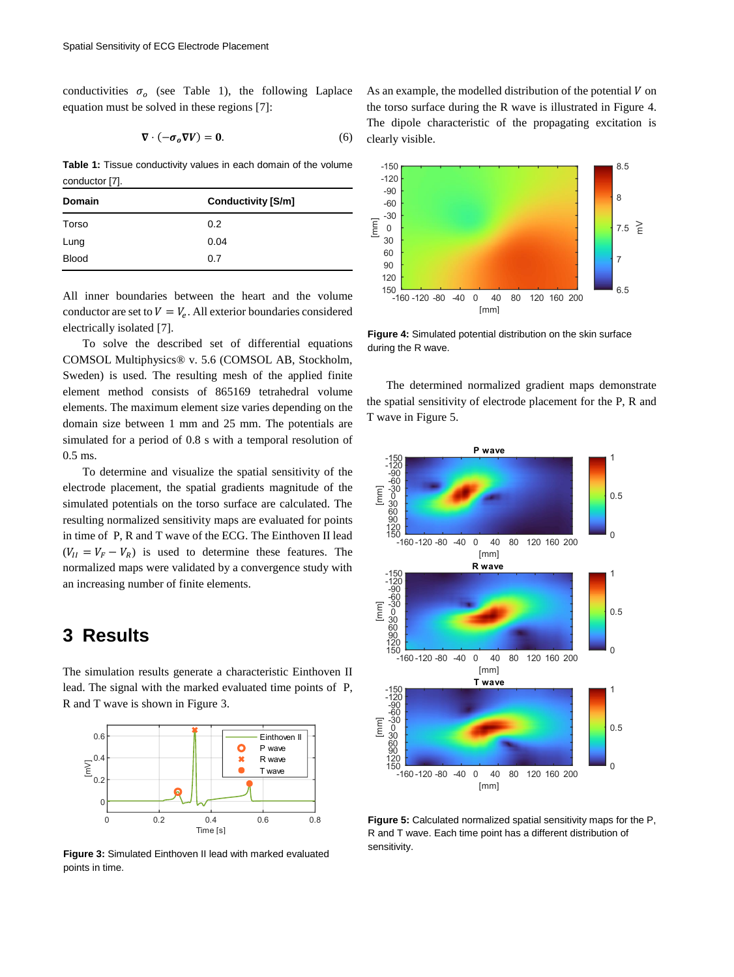conductivities  $\sigma_o$  (see Table 1), the following Laplace equation must be solved in these regions [7]:

$$
\nabla \cdot (-\sigma_o \nabla V) = 0. \tag{6}
$$

**Table 1:** Tissue conductivity values in each domain of the volume conductor [7].

| <b>Domain</b> | <b>Conductivity [S/m]</b> |
|---------------|---------------------------|
| Torso         | 0.2                       |
| Lung          | 0.04                      |
| <b>Blood</b>  | 0.7                       |

All inner boundaries between the heart and the volume conductor are set to  $V = V_e$ . All exterior boundaries considered electrically isolated [7].

To solve the described set of differential equations COMSOL Multiphysics® v. 5.6 (COMSOL AB, Stockholm, Sweden) is used. The resulting mesh of the applied finite element method consists of 865169 tetrahedral volume elements. The maximum element size varies depending on the domain size between 1 mm and 25 mm. The potentials are simulated for a period of 0.8 s with a temporal resolution of 0.5 ms.

To determine and visualize the spatial sensitivity of the electrode placement, the spatial gradients magnitude of the simulated potentials on the torso surface are calculated. The resulting normalized sensitivity maps are evaluated for points in time of P, R and T wave of the ECG. The Einthoven II lead  $(V_{II} = V_F - V_R)$  is used to determine these features. The normalized maps were validated by a convergence study with an increasing number of finite elements.

#### **3 Results**

The simulation results generate a characteristic Einthoven II lead. The signal with the marked evaluated time points of P, R and T wave is shown in Figure 3.



sensitivity. **Figure 3:** Simulated Einthoven II lead with marked evaluated points in time.

As an example, the modelled distribution of the potential  $V$  on the torso surface during the R wave is illustrated in Figure 4. The dipole characteristic of the propagating excitation is clearly visible.



**Figure 4:** Simulated potential distribution on the skin surface during the R wave.

The determined normalized gradient maps demonstrate the spatial sensitivity of electrode placement for the P, R and T wave in Figure 5.



**Figure 5:** Calculated normalized spatial sensitivity maps for the P, R and T wave. Each time point has a different distribution of